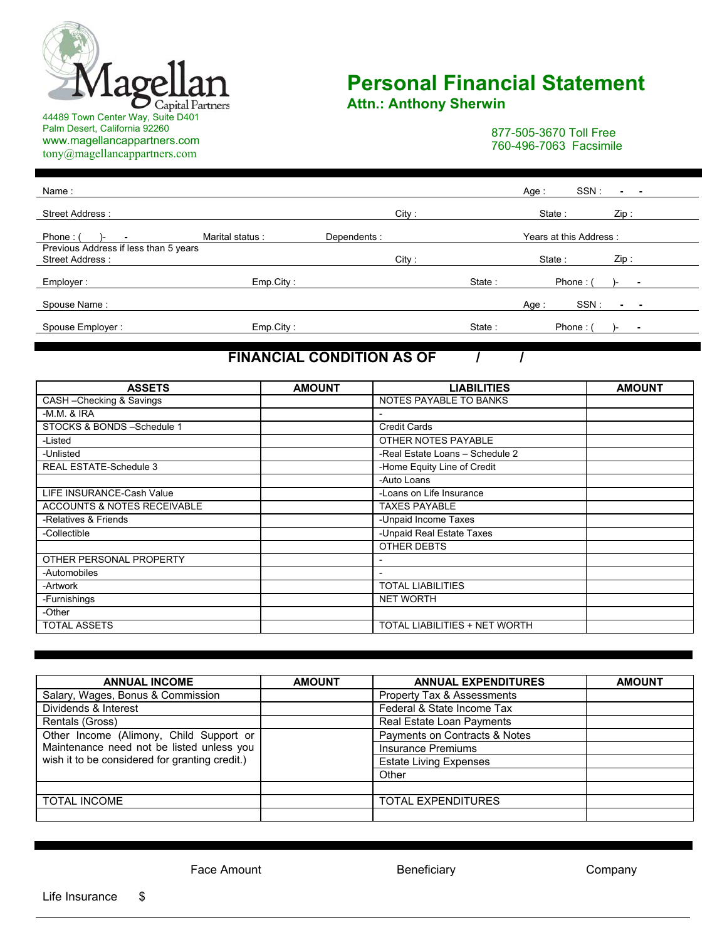

Palm Desert, California 92260 www.magellancappartners.com tony@magellancappartners.com

## **Personal Financial Statement**

**Attn.: Anthony Sherwin** 

877-505-3670 Toll Free 760-496-7063 Facsimile

l

| Name:                                                    |                 |             |       |        | Age :  | SSN:                   | ۰.   |  |
|----------------------------------------------------------|-----------------|-------------|-------|--------|--------|------------------------|------|--|
| Street Address:                                          |                 |             | City: |        | State: |                        | Zip: |  |
| Phone: $($                                               | Marital status: | Dependents: |       |        |        | Years at this Address: |      |  |
| Previous Address if less than 5 years<br>Street Address: |                 |             | City: |        | State: |                        | Zip: |  |
| Employer :                                               | Emp.City:       |             |       | State: |        | Phone:                 |      |  |
| Spouse Name:                                             |                 |             |       |        | Age:   | SSN:                   | ۰    |  |
| Spouse Employer:                                         | Emp.City:       |             |       | State: |        | Phone:                 |      |  |

## **FINANCIAL CONDITION AS OF / /**

| <b>ASSETS</b>                 | <b>AMOUNT</b> | <b>LIABILITIES</b>              | <b>AMOUNT</b> |
|-------------------------------|---------------|---------------------------------|---------------|
| CASH-Checking & Savings       |               | NOTES PAYABLE TO BANKS          |               |
| $-M.M.$ & IRA                 |               | $\overline{\phantom{0}}$        |               |
| STOCKS & BONDS - Schedule 1   |               | <b>Credit Cards</b>             |               |
| -Listed                       |               | OTHER NOTES PAYABLE             |               |
| -Unlisted                     |               | -Real Estate Loans - Schedule 2 |               |
| <b>REAL ESTATE-Schedule 3</b> |               | -Home Equity Line of Credit     |               |
|                               |               | -Auto Loans                     |               |
| LIFE INSURANCE-Cash Value     |               | -Loans on Life Insurance        |               |
| ACCOUNTS & NOTES RECEIVABLE   |               | <b>TAXES PAYABLE</b>            |               |
| -Relatives & Friends          |               | -Unpaid Income Taxes            |               |
| -Collectible                  |               | -Unpaid Real Estate Taxes       |               |
|                               |               | OTHER DEBTS                     |               |
| OTHER PERSONAL PROPERTY       |               |                                 |               |
| -Automobiles                  |               |                                 |               |
| -Artwork                      |               | <b>TOTAL LIABILITIES</b>        |               |
| -Furnishings                  |               | <b>NET WORTH</b>                |               |
| -Other                        |               |                                 |               |
| <b>TOTAL ASSETS</b>           |               | TOTAL LIABILITIES + NET WORTH   |               |

| <b>ANNUAL INCOME</b>                           | <b>AMOUNT</b> | <b>ANNUAL EXPENDITURES</b>    | <b>AMOUNT</b> |
|------------------------------------------------|---------------|-------------------------------|---------------|
| Salary, Wages, Bonus & Commission              |               | Property Tax & Assessments    |               |
| Dividends & Interest                           |               | Federal & State Income Tax    |               |
| Rentals (Gross)                                |               | Real Estate Loan Payments     |               |
| Other Income (Alimony, Child Support or        |               | Payments on Contracts & Notes |               |
| Maintenance need not be listed unless you      |               | <b>Insurance Premiums</b>     |               |
| wish it to be considered for granting credit.) |               | <b>Estate Living Expenses</b> |               |
|                                                |               | Other                         |               |
|                                                |               |                               |               |
| <b>TOTAL INCOME</b>                            |               | <b>TOTAL EXPENDITURES</b>     |               |
|                                                |               |                               |               |

Face Amount **Example 2** Beneficiary **Company** Company

Life Insurance \$